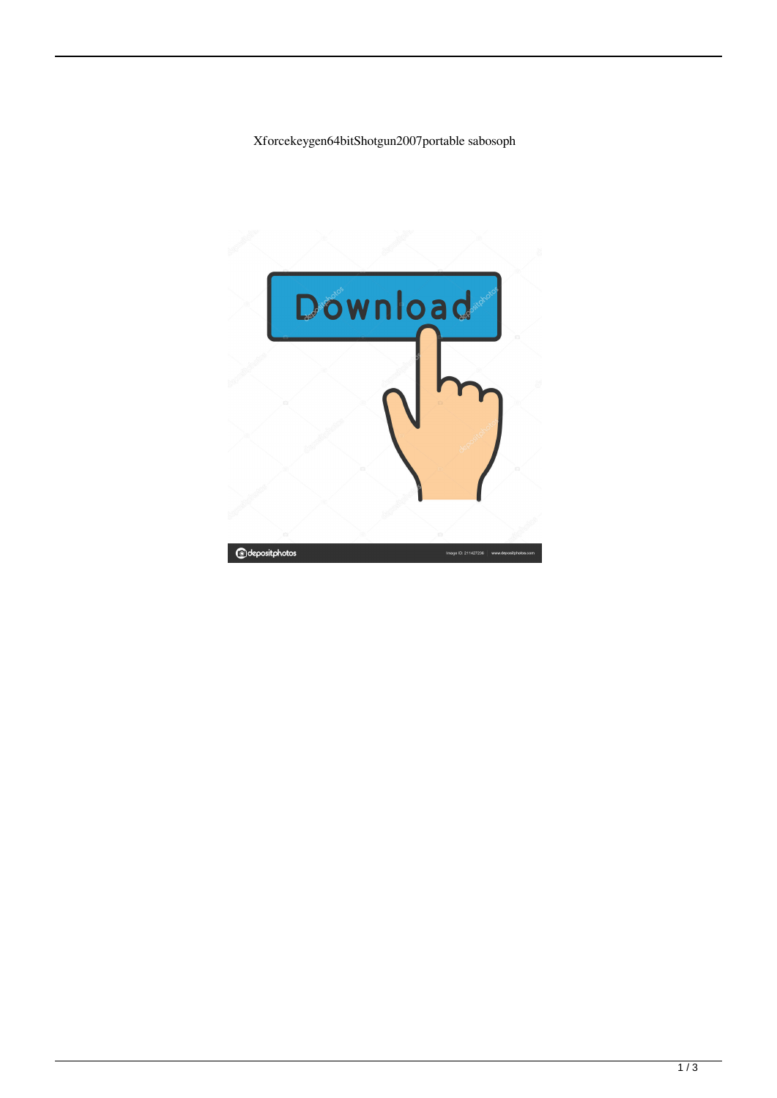Xforcekeygen64bitShotgun2007portable sabosoph

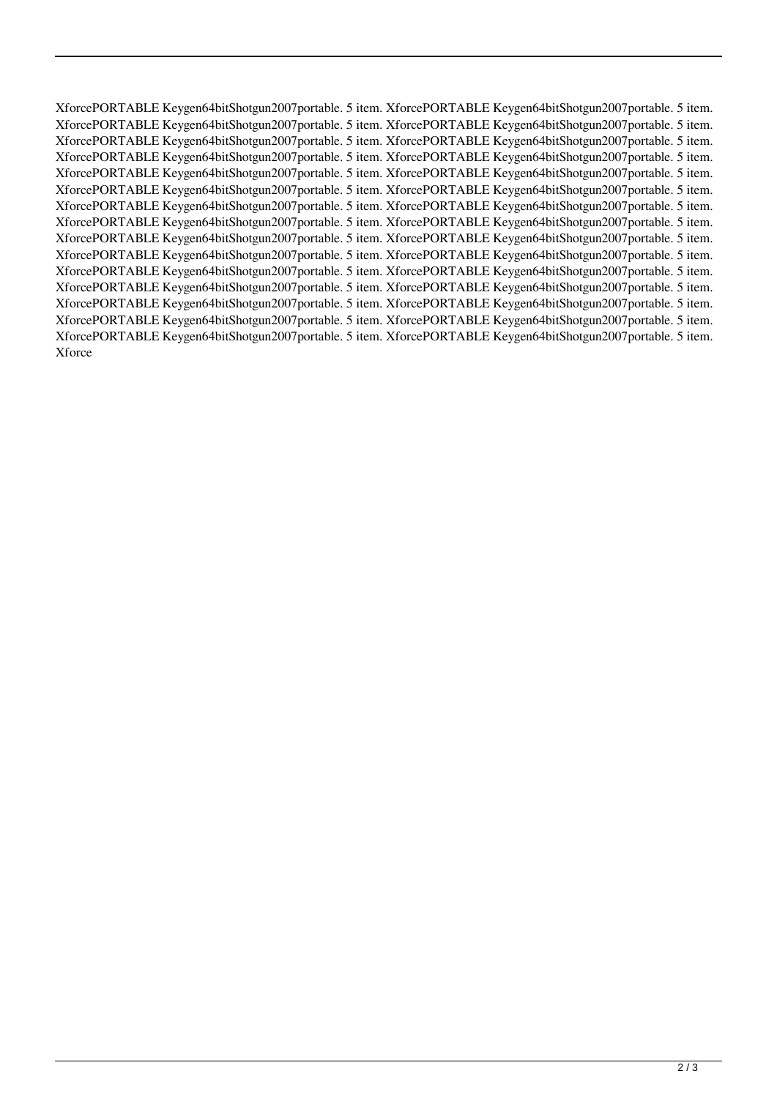XforcePORTABLE Keygen64bitShotgun2007portable. 5 item. XforcePORTABLE Keygen64bitShotgun2007portable. 5 item. XforcePORTABLE Keygen64bitShotgun2007portable. 5 item. XforcePORTABLE Keygen64bitShotgun2007portable. 5 item. XforcePORTABLE Keygen64bitShotgun2007portable. 5 item. XforcePORTABLE Keygen64bitShotgun2007portable. 5 item. XforcePORTABLE Keygen64bitShotgun2007portable. 5 item. XforcePORTABLE Keygen64bitShotgun2007portable. 5 item. XforcePORTABLE Keygen64bitShotgun2007portable. 5 item. XforcePORTABLE Keygen64bitShotgun2007portable. 5 item. XforcePORTABLE Keygen64bitShotgun2007portable. 5 item. XforcePORTABLE Keygen64bitShotgun2007portable. 5 item. XforcePORTABLE Keygen64bitShotgun2007portable. 5 item. XforcePORTABLE Keygen64bitShotgun2007portable. 5 item. XforcePORTABLE Keygen64bitShotgun2007portable. 5 item. XforcePORTABLE Keygen64bitShotgun2007portable. 5 item. XforcePORTABLE Keygen64bitShotgun2007portable. 5 item. XforcePORTABLE Keygen64bitShotgun2007portable. 5 item. XforcePORTABLE Keygen64bitShotgun2007portable. 5 item. XforcePORTABLE Keygen64bitShotgun2007portable. 5 item. XforcePORTABLE Keygen64bitShotgun2007portable. 5 item. XforcePORTABLE Keygen64bitShotgun2007portable. 5 item. XforcePORTABLE Keygen64bitShotgun2007portable. 5 item. XforcePORTABLE Keygen64bitShotgun2007portable. 5 item. XforcePORTABLE Keygen64bitShotgun2007portable. 5 item. XforcePORTABLE Keygen64bitShotgun2007portable. 5 item. XforcePORTABLE Keygen64bitShotgun2007portable. 5 item. XforcePORTABLE Keygen64bitShotgun2007portable. 5 item. XforcePORTABLE Keygen64bitShotgun2007portable. 5 item. XforcePORTABLE Keygen64bitShotgun2007portable. 5 item. Xforce